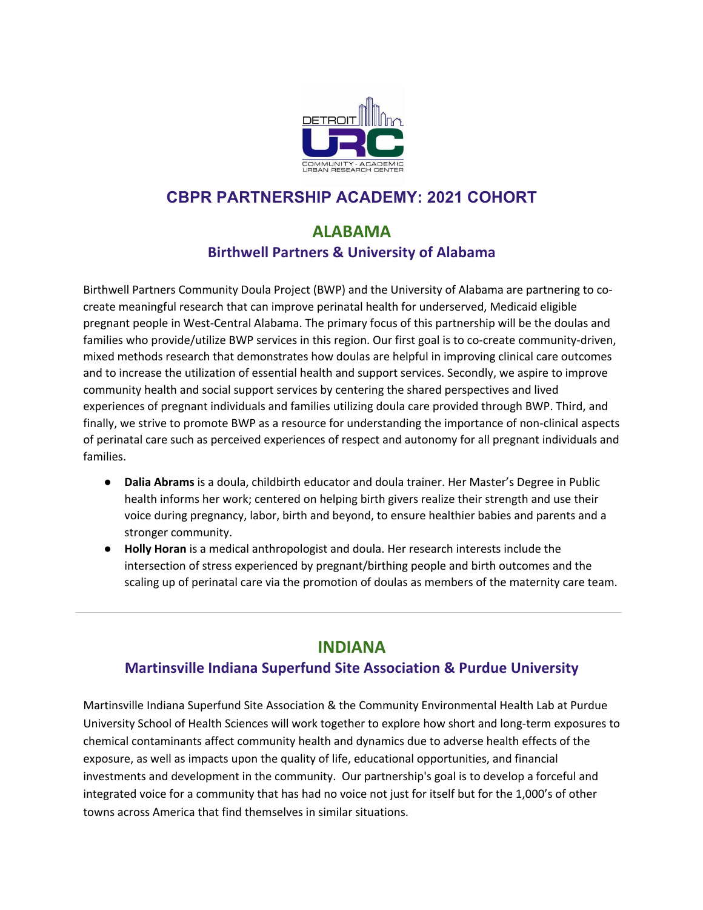

# **CBPR PARTNERSHIP ACADEMY: 2021 COHORT**

# **ALABAMA Birthwell Partners & University of Alabama**

Birthwell Partners Community Doula Project (BWP) and the University of Alabama are partnering to cocreate meaningful research that can improve perinatal health for underserved, Medicaid eligible pregnant people in West-Central Alabama. The primary focus of this partnership will be the doulas and families who provide/utilize BWP services in this region. Our first goal is to co-create community-driven, mixed methods research that demonstrates how doulas are helpful in improving clinical care outcomes and to increase the utilization of essential health and support services. Secondly, we aspire to improve community health and social support services by centering the shared perspectives and lived experiences of pregnant individuals and families utilizing doula care provided through BWP. Third, and finally, we strive to promote BWP as a resource for understanding the importance of non-clinical aspects of perinatal care such as perceived experiences of respect and autonomy for all pregnant individuals and families.

- **Dalia Abrams** is a doula, childbirth educator and doula trainer. Her Master's Degree in Public health informs her work; centered on helping birth givers realize their strength and use their voice during pregnancy, labor, birth and beyond, to ensure healthier babies and parents and a stronger community.
- **Holly Horan** is a medical anthropologist and doula. Her research interests include the intersection of stress experienced by pregnant/birthing people and birth outcomes and the scaling up of perinatal care via the promotion of doulas as members of the maternity care team.

### **INDIANA**

### **Martinsville Indiana Superfund Site Association & Purdue University**

Martinsville Indiana Superfund Site Association & the Community Environmental Health Lab at Purdue University School of Health Sciences will work together to explore how short and long-term exposures to chemical contaminants affect community health and dynamics due to adverse health effects of the exposure, as well as impacts upon the quality of life, educational opportunities, and financial investments and development in the community. Our partnership's goal is to develop a forceful and integrated voice for a community that has had no voice not just for itself but for the 1,000's of other towns across America that find themselves in similar situations.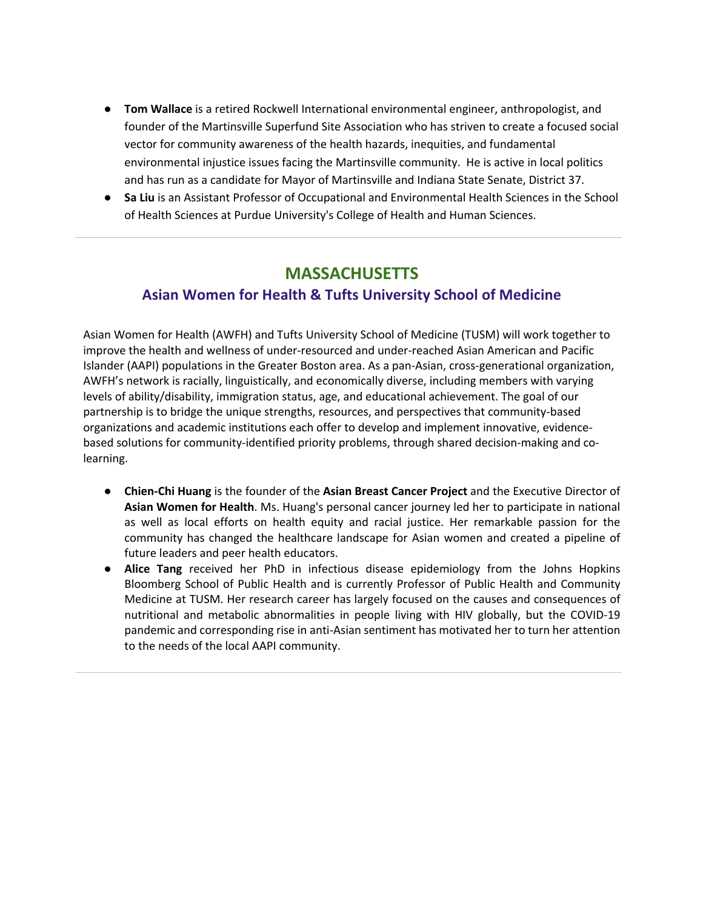- **Tom Wallace** is a retired Rockwell International environmental engineer, anthropologist, and founder of the Martinsville Superfund Site Association who has striven to create a focused social vector for community awareness of the health hazards, inequities, and fundamental environmental injustice issues facing the Martinsville community. He is active in local politics and has run as a candidate for Mayor of Martinsville and Indiana State Senate, District 37.
- **Sa Liu** is an Assistant Professor of Occupational and Environmental Health Sciences in the School of Health Sciences at Purdue University's College of Health and Human Sciences.

# **MASSACHUSETTS**

### **Asian Women for Health & Tufts University School of Medicine**

Asian Women for Health (AWFH) and Tufts University School of Medicine (TUSM) will work together to improve the health and wellness of under-resourced and under-reached Asian American and Pacific Islander (AAPI) populations in the Greater Boston area. As a pan-Asian, cross-generational organization, AWFH's network is racially, linguistically, and economically diverse, including members with varying levels of ability/disability, immigration status, age, and educational achievement. The goal of our partnership is to bridge the unique strengths, resources, and perspectives that community-based organizations and academic institutions each offer to develop and implement innovative, evidencebased solutions for community-identified priority problems, through shared decision-making and colearning.

- **Chien-Chi Huang** is the founder of the **Asian Breast Cancer Project** and the Executive Director of **Asian Women for Health**. Ms. Huang's personal cancer journey led her to participate in national as well as local efforts on health equity and racial justice. Her remarkable passion for the community has changed the healthcare landscape for Asian women and created a pipeline of future leaders and peer health educators.
- **Alice Tang** received her PhD in infectious disease epidemiology from the Johns Hopkins Bloomberg School of Public Health and is currently Professor of Public Health and Community Medicine at TUSM. Her research career has largely focused on the causes and consequences of nutritional and metabolic abnormalities in people living with HIV globally, but the COVID-19 pandemic and corresponding rise in anti-Asian sentiment has motivated her to turn her attention to the needs of the local AAPI community.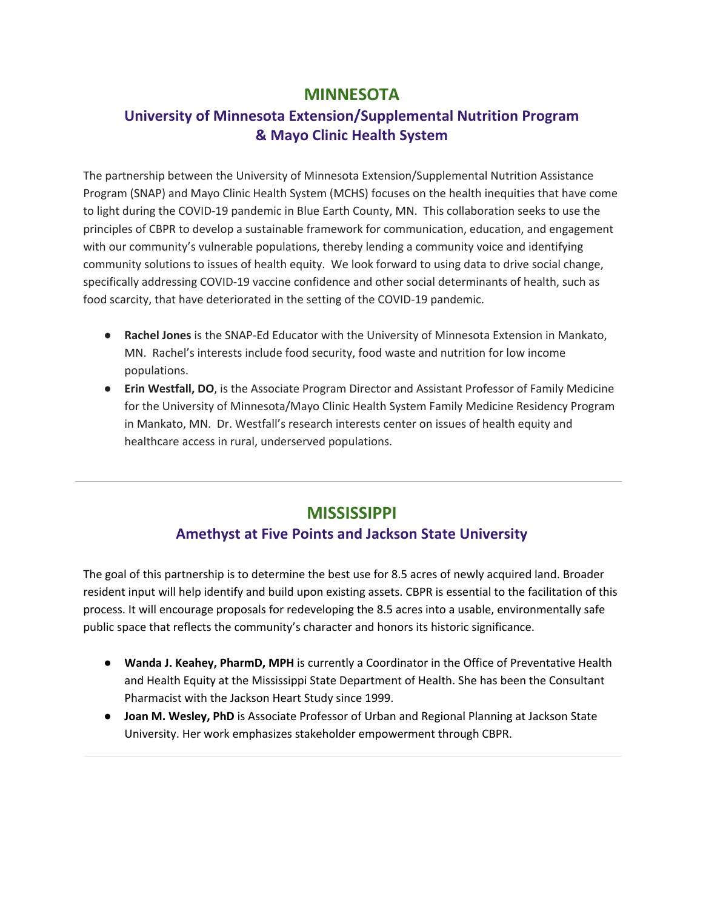# **MINNESOTA**

# **University of Minnesota Extension/Supplemental Nutrition Program & Mayo Clinic Health System**

The partnership between the University of Minnesota Extension/Supplemental Nutrition Assistance Program (SNAP) and Mayo Clinic Health System (MCHS) focuses on the health inequities that have come to light during the COVID-19 pandemic in Blue Earth County, MN. This collaboration seeks to use the principles of CBPR to develop a sustainable framework for communication, education, and engagement with our community's vulnerable populations, thereby lending a community voice and identifying community solutions to issues of health equity. We look forward to using data to drive social change, specifically addressing COVID-19 vaccine confidence and other social determinants of health, such as food scarcity, that have deteriorated in the setting of the COVID-19 pandemic.

- **Rachel Jones** is the SNAP-Ed Educator with the University of Minnesota Extension in Mankato, MN. Rachel's interests include food security, food waste and nutrition for low income populations.
- **Erin Westfall, DO**, is the Associate Program Director and Assistant Professor of Family Medicine for the University of Minnesota/Mayo Clinic Health System Family Medicine Residency Program in Mankato, MN. Dr. Westfall's research interests center on issues of health equity and healthcare access in rural, underserved populations.

# **MISSISSIPPI Amethyst at Five Points and Jackson State University**

The goal of this partnership is to determine the best use for 8.5 acres of newly acquired land. Broader resident input will help identify and build upon existing assets. CBPR is essential to the facilitation of this process. It will encourage proposals for redeveloping the 8.5 acres into a usable, environmentally safe public space that reflects the community's character and honors its historic significance.

- **Wanda J. Keahey, PharmD, MPH** is currently a Coordinator in the Office of Preventative Health and Health Equity at the Mississippi State Department of Health. She has been the Consultant Pharmacist with the Jackson Heart Study since 1999.
- **Joan M. Wesley, PhD** is Associate Professor of Urban and Regional Planning at Jackson State University. Her work emphasizes stakeholder empowerment through CBPR.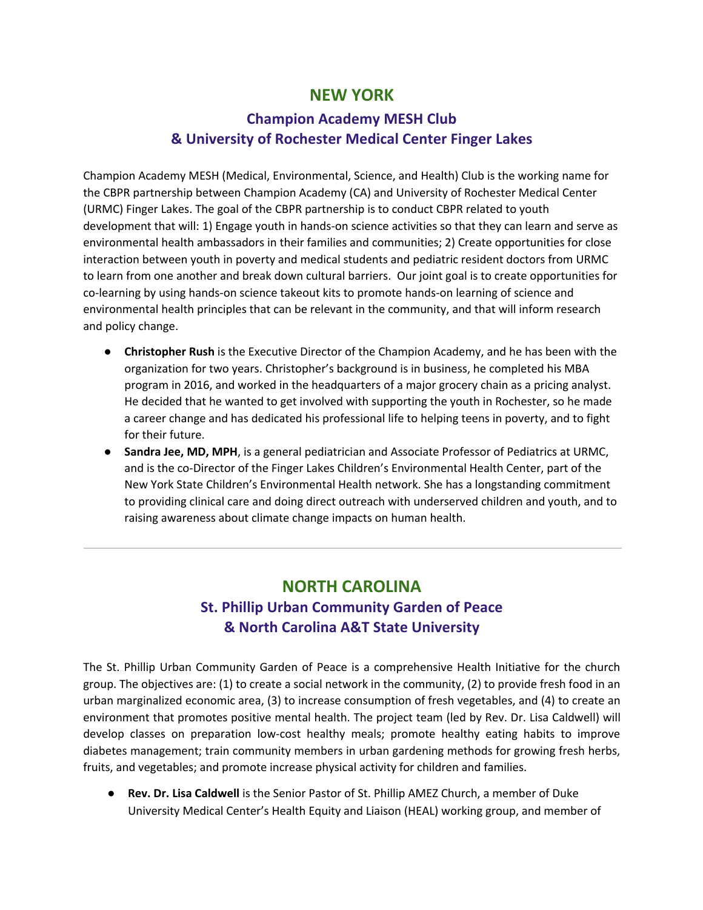#### **NEW YORK**

# **Champion Academy MESH Club & University of Rochester Medical Center Finger Lakes**

Champion Academy MESH (Medical, Environmental, Science, and Health) Club is the working name for the CBPR partnership between Champion Academy (CA) and University of Rochester Medical Center (URMC) Finger Lakes. The goal of the CBPR partnership is to conduct CBPR related to youth development that will: 1) Engage youth in hands-on science activities so that they can learn and serve as environmental health ambassadors in their families and communities; 2) Create opportunities for close interaction between youth in poverty and medical students and pediatric resident doctors from URMC to learn from one another and break down cultural barriers. Our joint goal is to create opportunities for co-learning by using hands-on science takeout kits to promote hands-on learning of science and environmental health principles that can be relevant in the community, and that will inform research and policy change.

- **Christopher Rush** is the Executive Director of the Champion Academy, and he has been with the organization for two years. Christopher's background is in business, he completed his MBA program in 2016, and worked in the headquarters of a major grocery chain as a pricing analyst. He decided that he wanted to get involved with supporting the youth in Rochester, so he made a career change and has dedicated his professional life to helping teens in poverty, and to fight for their future.
- **Sandra Jee, MD, MPH**, is a general pediatrician and Associate Professor of Pediatrics at URMC, and is the co-Director of the Finger Lakes Children's Environmental Health Center, part of the New York State Children's Environmental Health network. She has a longstanding commitment to providing clinical care and doing direct outreach with underserved children and youth, and to raising awareness about climate change impacts on human health.

# **NORTH CAROLINA St. Phillip Urban Community Garden of Peace & North Carolina A&T State University**

The St. Phillip Urban Community Garden of Peace is a comprehensive Health Initiative for the church group. The objectives are: (1) to create a social network in the community, (2) to provide fresh food in an urban marginalized economic area, (3) to increase consumption of fresh vegetables, and (4) to create an environment that promotes positive mental health. The project team (led by Rev. Dr. Lisa Caldwell) will develop classes on preparation low-cost healthy meals; promote healthy eating habits to improve diabetes management; train community members in urban gardening methods for growing fresh herbs, fruits, and vegetables; and promote increase physical activity for children and families.

● **Rev. Dr. Lisa Caldwell** is the Senior Pastor of St. Phillip AMEZ Church, a member of Duke University Medical Center's Health Equity and Liaison (HEAL) working group, and member of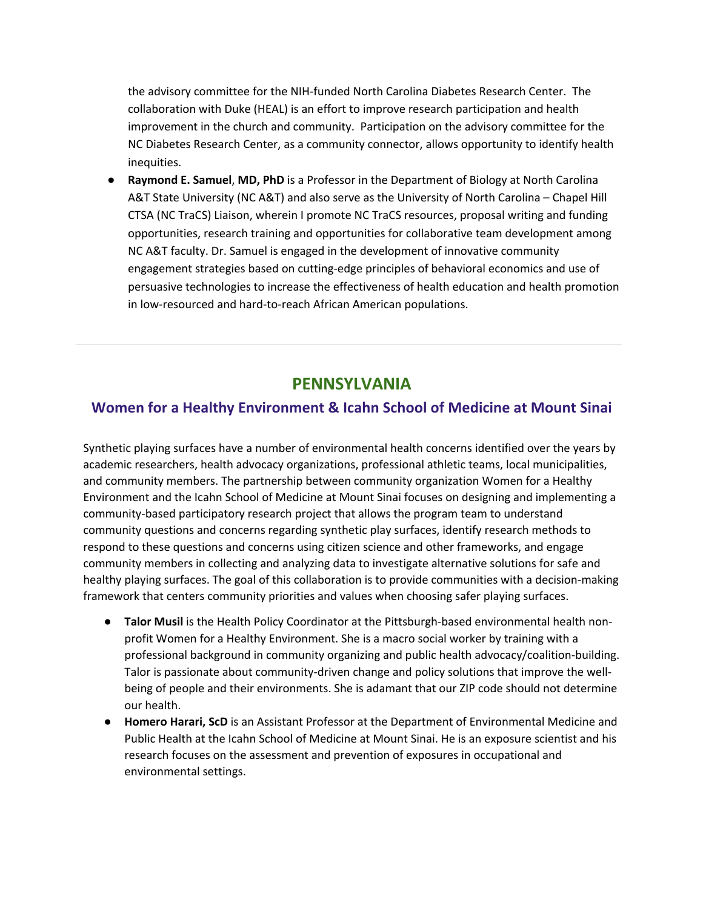the advisory committee for the NIH-funded North Carolina Diabetes Research Center. The collaboration with Duke (HEAL) is an effort to improve research participation and health improvement in the church and community. Participation on the advisory committee for the NC Diabetes Research Center, as a community connector, allows opportunity to identify health inequities.

● **Raymond E. Samuel**, **MD, PhD** is a Professor in the Department of Biology at North Carolina A&T State University (NC A&T) and also serve as the University of North Carolina – Chapel Hill CTSA (NC TraCS) Liaison, wherein I promote NC TraCS resources, proposal writing and funding opportunities, research training and opportunities for collaborative team development among NC A&T faculty. Dr. Samuel is engaged in the development of innovative community engagement strategies based on cutting-edge principles of behavioral economics and use of persuasive technologies to increase the effectiveness of health education and health promotion in low-resourced and hard-to-reach African American populations.

### **PENNSYLVANIA**

#### **Women for a Healthy Environment & Icahn School of Medicine at Mount Sinai**

Synthetic playing surfaces have a number of environmental health concerns identified over the years by academic researchers, health advocacy organizations, professional athletic teams, local municipalities, and community members. The partnership between community organization Women for a Healthy Environment and the Icahn School of Medicine at Mount Sinai focuses on designing and implementing a community-based participatory research project that allows the program team to understand community questions and concerns regarding synthetic play surfaces, identify research methods to respond to these questions and concerns using citizen science and other frameworks, and engage community members in collecting and analyzing data to investigate alternative solutions for safe and healthy playing surfaces. The goal of this collaboration is to provide communities with a decision-making framework that centers community priorities and values when choosing safer playing surfaces.

- **Talor Musil** is the Health Policy Coordinator at the Pittsburgh-based environmental health nonprofit Women for a Healthy Environment. She is a macro social worker by training with a professional background in community organizing and public health advocacy/coalition-building. Talor is passionate about community-driven change and policy solutions that improve the wellbeing of people and their environments. She is adamant that our ZIP code should not determine our health.
- **Homero Harari, ScD** is an Assistant Professor at the Department of Environmental Medicine and Public Health at the Icahn School of Medicine at Mount Sinai. He is an exposure scientist and his research focuses on the assessment and prevention of exposures in occupational and environmental settings.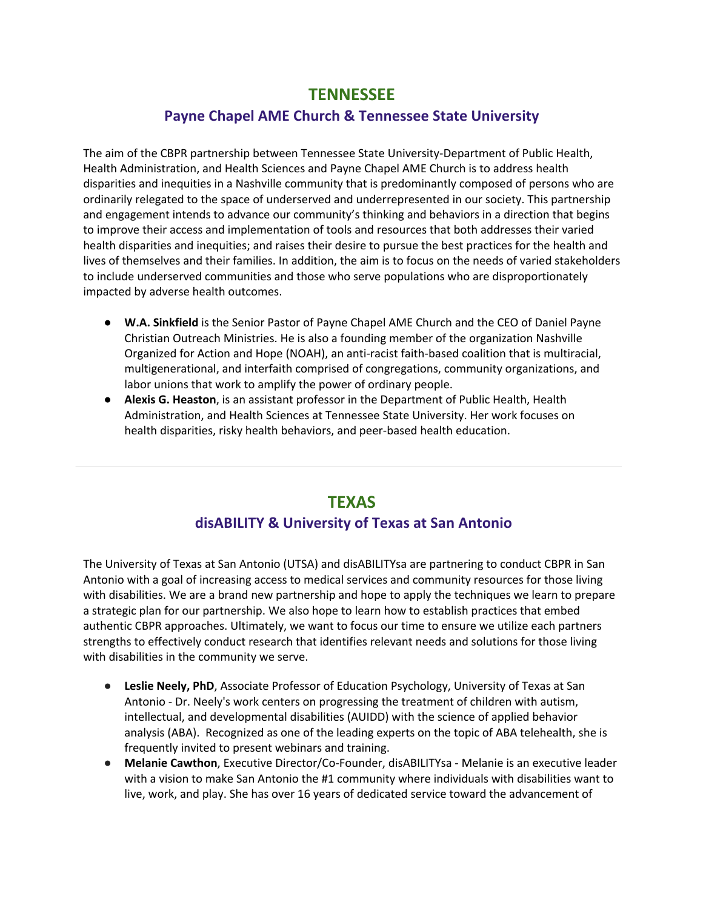#### **TENNESSEE**

#### **Payne Chapel AME Church & Tennessee State University**

The aim of the CBPR partnership between Tennessee State University-Department of Public Health, Health Administration, and Health Sciences and Payne Chapel AME Church is to address health disparities and inequities in a Nashville community that is predominantly composed of persons who are ordinarily relegated to the space of underserved and underrepresented in our society. This partnership and engagement intends to advance our community's thinking and behaviors in a direction that begins to improve their access and implementation of tools and resources that both addresses their varied health disparities and inequities; and raises their desire to pursue the best practices for the health and lives of themselves and their families. In addition, the aim is to focus on the needs of varied stakeholders to include underserved communities and those who serve populations who are disproportionately impacted by adverse health outcomes.

- **W.A. Sinkfield** is the Senior Pastor of Payne Chapel AME Church and the CEO of Daniel Payne Christian Outreach Ministries. He is also a founding member of the organization Nashville Organized for Action and Hope (NOAH), an anti-racist faith-based coalition that is multiracial, multigenerational, and interfaith comprised of congregations, community organizations, and labor unions that work to amplify the power of ordinary people.
- **Alexis G. Heaston**, is an assistant professor in the Department of Public Health, Health Administration, and Health Sciences at Tennessee State University. Her work focuses on health disparities, risky health behaviors, and peer-based health education.

# **TEXAS**

### **disABILITY & University of Texas at San Antonio**

The University of Texas at San Antonio (UTSA) and disABILITYsa are partnering to conduct CBPR in San Antonio with a goal of increasing access to medical services and community resources for those living with disabilities. We are a brand new partnership and hope to apply the techniques we learn to prepare a strategic plan for our partnership. We also hope to learn how to establish practices that embed authentic CBPR approaches. Ultimately, we want to focus our time to ensure we utilize each partners strengths to effectively conduct research that identifies relevant needs and solutions for those living with disabilities in the community we serve.

- **Leslie Neely, PhD**, Associate Professor of Education Psychology, University of Texas at San Antonio - Dr. Neely's work centers on progressing the treatment of children with autism, intellectual, and developmental disabilities (AUIDD) with the science of applied behavior analysis (ABA). Recognized as one of the leading experts on the topic of ABA telehealth, she is frequently invited to present webinars and training.
- **Melanie Cawthon**, Executive Director/Co-Founder, disABILITYsa Melanie is an executive leader with a vision to make San Antonio the #1 community where individuals with disabilities want to live, work, and play. She has over 16 years of dedicated service toward the advancement of